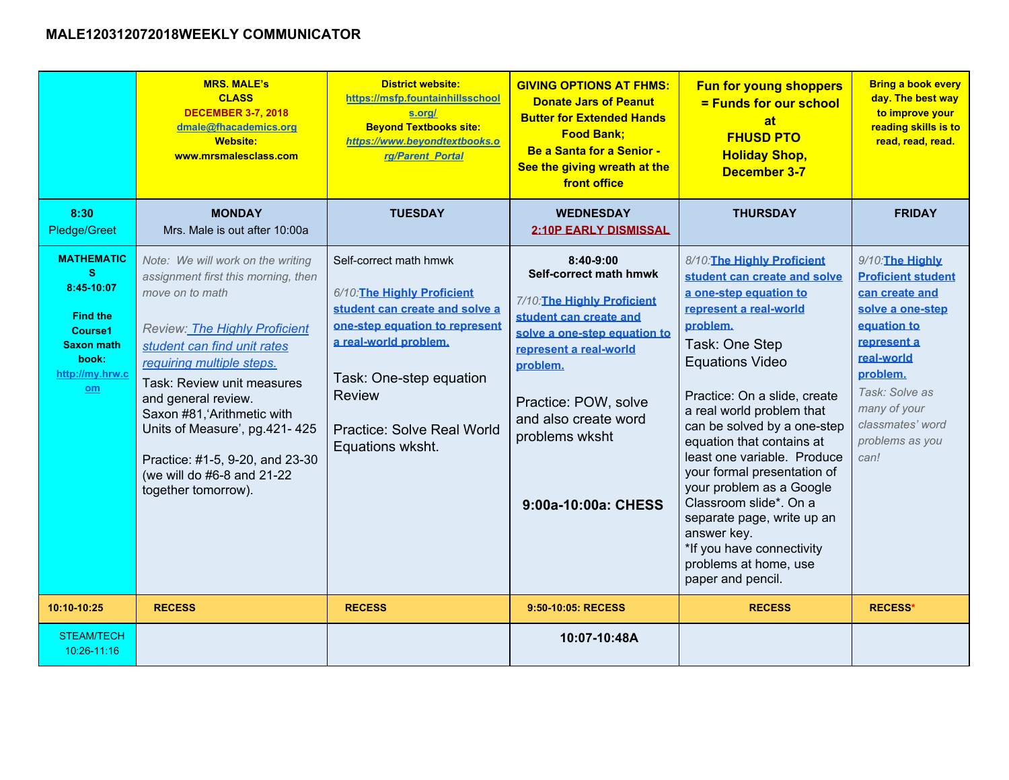|                                                                                                                           | <b>MRS. MALE's</b><br><b>CLASS</b><br><b>DECEMBER 3-7, 2018</b><br>dmale@fhacademics.org<br><b>Website:</b><br>www.mrsmalesclass.com                                                                                                                                                                                                                                                                        | <b>District website:</b><br>https://msfp.fountainhillsschool<br>s.org/<br><b>Beyond Textbooks site:</b><br>https://www.beyondtextbooks.o<br>rg/Parent Portal                                                                                            | <b>GIVING OPTIONS AT FHMS:</b><br><b>Donate Jars of Peanut</b><br><b>Butter for Extended Hands</b><br><b>Food Bank;</b><br><b>Be a Santa for a Senior -</b><br>See the giving wreath at the<br>front office                                                 | <b>Fun for young shoppers</b><br>= Funds for our school<br>at<br><b>FHUSD PTO</b><br><b>Holiday Shop,</b><br><b>December 3-7</b>                                                                                                                                                                                                                                                                                                                                                                                                             | <b>Bring a book every</b><br>day. The best way<br>to improve your<br>reading skills is to<br>read, read, read.                                                                                                               |
|---------------------------------------------------------------------------------------------------------------------------|-------------------------------------------------------------------------------------------------------------------------------------------------------------------------------------------------------------------------------------------------------------------------------------------------------------------------------------------------------------------------------------------------------------|---------------------------------------------------------------------------------------------------------------------------------------------------------------------------------------------------------------------------------------------------------|-------------------------------------------------------------------------------------------------------------------------------------------------------------------------------------------------------------------------------------------------------------|----------------------------------------------------------------------------------------------------------------------------------------------------------------------------------------------------------------------------------------------------------------------------------------------------------------------------------------------------------------------------------------------------------------------------------------------------------------------------------------------------------------------------------------------|------------------------------------------------------------------------------------------------------------------------------------------------------------------------------------------------------------------------------|
| 8:30<br>Pledge/Greet                                                                                                      | <b>MONDAY</b><br>Mrs. Male is out after 10:00a                                                                                                                                                                                                                                                                                                                                                              | <b>TUESDAY</b>                                                                                                                                                                                                                                          | <b>WEDNESDAY</b><br><b>2:10P EARLY DISMISSAL</b>                                                                                                                                                                                                            | <b>THURSDAY</b>                                                                                                                                                                                                                                                                                                                                                                                                                                                                                                                              | <b>FRIDAY</b>                                                                                                                                                                                                                |
| <b>MATHEMATIC</b><br><b>S</b><br>8:45-10:07<br><b>Find the</b><br>Course1<br>Saxon math<br>book:<br>http://my.hrw.c<br>om | Note: We will work on the writing<br>assignment first this morning, then<br>move on to math<br><b>Review: The Highly Proficient</b><br>student can find unit rates<br>requiring multiple steps.<br>Task: Review unit measures<br>and general review.<br>Saxon #81, Arithmetic with<br>Units of Measure', pg.421-425<br>Practice: #1-5, 9-20, and 23-30<br>(we will do #6-8 and 21-22<br>together tomorrow). | Self-correct math hmwk<br>6/10: The Highly Proficient<br>student can create and solve a<br>one-step equation to represent<br>a real-world problem.<br>Task: One-step equation<br><b>Review</b><br><b>Practice: Solve Real World</b><br>Equations wksht. | 8:40-9:00<br>Self-correct math hmwk<br>7/10: The Highly Proficient<br>student can create and<br>solve a one-step equation to<br>represent a real-world<br>problem.<br>Practice: POW, solve<br>and also create word<br>problems wksht<br>9:00a-10:00a: CHESS | 8/10: The Highly Proficient<br>student can create and solve<br>a one-step equation to<br>represent a real-world<br>problem.<br>Task: One Step<br><b>Equations Video</b><br>Practice: On a slide, create<br>a real world problem that<br>can be solved by a one-step<br>equation that contains at<br>least one variable. Produce<br>your formal presentation of<br>your problem as a Google<br>Classroom slide*. On a<br>separate page, write up an<br>answer key.<br>*If you have connectivity<br>problems at home, use<br>paper and pencil. | 9/10: The Highly<br><b>Proficient student</b><br>can create and<br>solve a one-step<br>equation to<br>represent a<br>real-world<br>problem.<br>Task: Solve as<br>many of your<br>classmates' word<br>problems as you<br>can! |
| 10:10-10:25                                                                                                               | <b>RECESS</b>                                                                                                                                                                                                                                                                                                                                                                                               | <b>RECESS</b>                                                                                                                                                                                                                                           | 9:50-10:05: RECESS                                                                                                                                                                                                                                          | <b>RECESS</b>                                                                                                                                                                                                                                                                                                                                                                                                                                                                                                                                | <b>RECESS*</b>                                                                                                                                                                                                               |
| <b>STEAM/TECH</b><br>$10:26 - 11:16$                                                                                      |                                                                                                                                                                                                                                                                                                                                                                                                             |                                                                                                                                                                                                                                                         | 10:07-10:48A                                                                                                                                                                                                                                                |                                                                                                                                                                                                                                                                                                                                                                                                                                                                                                                                              |                                                                                                                                                                                                                              |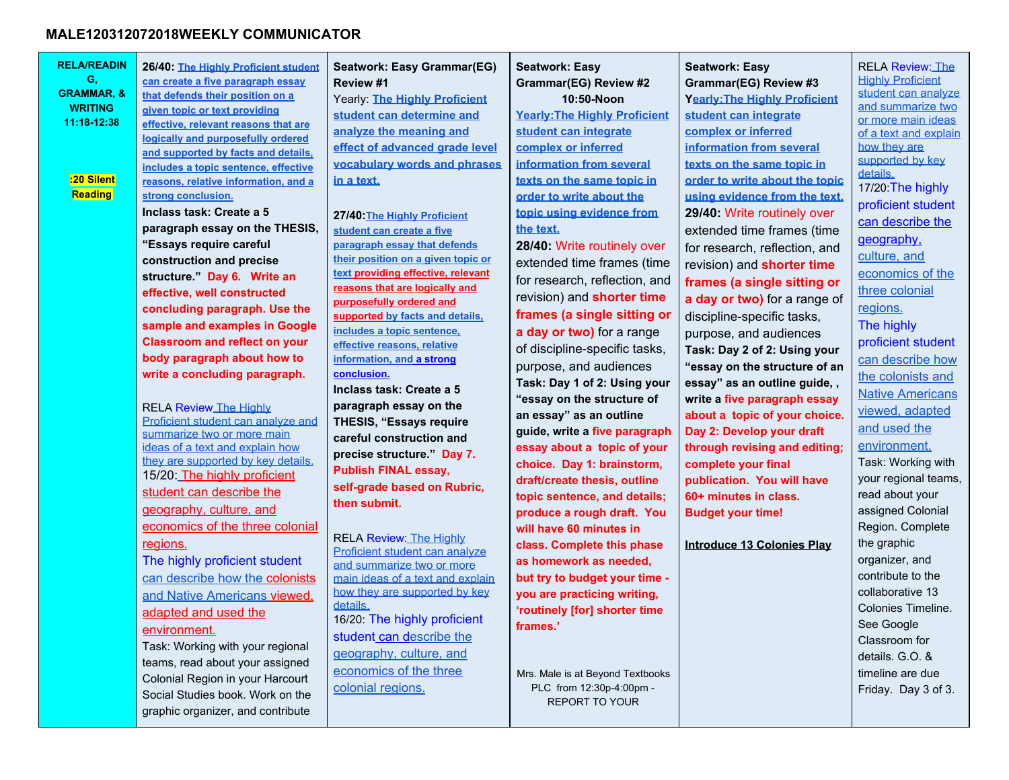| <b>RELA/READIN</b><br>G,<br><b>GRAMMAR, &amp;</b><br><b>WRITING</b><br>11:18-12:38<br>:20 Silent<br>Reading | 26/40: The Highly Proficient student<br>can create a five paragraph essay<br>that defends their position on a<br>given topic or text providing<br>effective, relevant reasons that are<br>logically and purposefully ordered<br>and supported by facts and details,<br>includes a topic sentence, effective<br>reasons, relative information, and a<br>strong conclusion.<br>Inclass task: Create a 5<br>paragraph essay on the THESIS,<br>"Essays require careful<br>construction and precise<br>structure." Day 6. Write an<br>effective, well constructed<br>concluding paragraph. Use the<br>sample and examples in Google<br><b>Classroom and reflect on your</b><br>body paragraph about how to<br>write a concluding paragraph.<br><b>RELA Review The Highly</b><br>Proficient student can analyze and<br>summarize two or more main<br>ideas of a text and explain how | Seatwork: Easy Grammar(EG)<br>Review #1<br>Yearly: The Highly Proficient<br>student can determine and<br>analyze the meaning and<br>effect of advanced grade level<br>vocabulary words and phrases<br>in a text.<br>27/40: The Highly Proficient<br>student can create a five<br>paragraph essay that defends<br>their position on a given topic or<br>text providing effective, relevant<br>reasons that are logically and<br>purposefully ordered and<br>supported by facts and details,<br>includes a topic sentence,<br>effective reasons, relative<br>information, and a strong<br>conclusion.<br>Inclass task: Create a 5<br>paragraph essay on the<br><b>THESIS, "Essays require</b><br>careful construction and | <b>Seatwork: Easy</b><br><b>Grammar(EG) Review #2</b><br>10:50-Noon<br><b>Yearly: The Highly Proficient</b><br>student can integrate<br>complex or inferred<br>information from several<br>texts on the same topic in<br>order to write about the<br>topic using evidence from<br>the text.<br>28/40: Write routinely over<br>extended time frames (time<br>for research, reflection, and<br>revision) and <b>shorter time</b><br>frames (a single sitting or<br>a day or two) for a range<br>of discipline-specific tasks,<br>purpose, and audiences<br>Task: Day 1 of 2: Using your<br>"essay on the structure of<br>an essay" as an outline | <b>Seatwork: Easy</b><br>Grammar(EG) Review #3<br><b>Yearly: The Highly Proficient</b><br>student can integrate<br>complex or inferred<br>information from several<br>texts on the same topic in<br>order to write about the topic<br>using evidence from the text.<br>29/40: Write routinely over<br>extended time frames (time<br>for research, reflection, and<br>revision) and <b>shorter time</b><br>frames (a single sitting or<br>a day or two) for a range of<br>discipline-specific tasks,<br>purpose, and audiences<br>Task: Day 2 of 2: Using your<br>"essay on the structure of an<br>essay" as an outline guide,,<br>write a five paragraph essay<br>about a topic of your choice.<br>Day 2: Develop your draft | <b>RELA Review: The</b><br><b>Highly Proficient</b><br>student can analyze<br>and summarize two<br>or more main ideas<br>of a text and explain<br>how they are<br>supported by key<br>details.<br>17/20: The highly<br>proficient student<br>can describe the<br>geography,<br>culture, and<br>economics of the<br>three colonial<br>regions.<br>The highly<br>proficient student<br>can describe how<br>the colonists and<br><b>Native Americans</b><br>viewed, adapted<br>and used the |
|-------------------------------------------------------------------------------------------------------------|--------------------------------------------------------------------------------------------------------------------------------------------------------------------------------------------------------------------------------------------------------------------------------------------------------------------------------------------------------------------------------------------------------------------------------------------------------------------------------------------------------------------------------------------------------------------------------------------------------------------------------------------------------------------------------------------------------------------------------------------------------------------------------------------------------------------------------------------------------------------------------|-------------------------------------------------------------------------------------------------------------------------------------------------------------------------------------------------------------------------------------------------------------------------------------------------------------------------------------------------------------------------------------------------------------------------------------------------------------------------------------------------------------------------------------------------------------------------------------------------------------------------------------------------------------------------------------------------------------------------|------------------------------------------------------------------------------------------------------------------------------------------------------------------------------------------------------------------------------------------------------------------------------------------------------------------------------------------------------------------------------------------------------------------------------------------------------------------------------------------------------------------------------------------------------------------------------------------------------------------------------------------------|------------------------------------------------------------------------------------------------------------------------------------------------------------------------------------------------------------------------------------------------------------------------------------------------------------------------------------------------------------------------------------------------------------------------------------------------------------------------------------------------------------------------------------------------------------------------------------------------------------------------------------------------------------------------------------------------------------------------------|------------------------------------------------------------------------------------------------------------------------------------------------------------------------------------------------------------------------------------------------------------------------------------------------------------------------------------------------------------------------------------------------------------------------------------------------------------------------------------------|
|                                                                                                             |                                                                                                                                                                                                                                                                                                                                                                                                                                                                                                                                                                                                                                                                                                                                                                                                                                                                                |                                                                                                                                                                                                                                                                                                                                                                                                                                                                                                                                                                                                                                                                                                                         |                                                                                                                                                                                                                                                                                                                                                                                                                                                                                                                                                                                                                                                |                                                                                                                                                                                                                                                                                                                                                                                                                                                                                                                                                                                                                                                                                                                              |                                                                                                                                                                                                                                                                                                                                                                                                                                                                                          |
|                                                                                                             |                                                                                                                                                                                                                                                                                                                                                                                                                                                                                                                                                                                                                                                                                                                                                                                                                                                                                |                                                                                                                                                                                                                                                                                                                                                                                                                                                                                                                                                                                                                                                                                                                         |                                                                                                                                                                                                                                                                                                                                                                                                                                                                                                                                                                                                                                                |                                                                                                                                                                                                                                                                                                                                                                                                                                                                                                                                                                                                                                                                                                                              |                                                                                                                                                                                                                                                                                                                                                                                                                                                                                          |
|                                                                                                             | they are supported by key details.<br>15/20: The highly proficient                                                                                                                                                                                                                                                                                                                                                                                                                                                                                                                                                                                                                                                                                                                                                                                                             | precise structure." Day 7.<br><b>Publish FINAL essay,</b>                                                                                                                                                                                                                                                                                                                                                                                                                                                                                                                                                                                                                                                               | guide, write a five paragraph<br>essay about a topic of your<br>choice. Day 1: brainstorm,                                                                                                                                                                                                                                                                                                                                                                                                                                                                                                                                                     | through revising and editing;<br>complete your final                                                                                                                                                                                                                                                                                                                                                                                                                                                                                                                                                                                                                                                                         | environment.<br>Task: Working with<br>your regional teams,                                                                                                                                                                                                                                                                                                                                                                                                                               |
|                                                                                                             | student can describe the<br>geography, culture, and<br>economics of the three colonial                                                                                                                                                                                                                                                                                                                                                                                                                                                                                                                                                                                                                                                                                                                                                                                         | self-grade based on Rubric,<br>then submit.                                                                                                                                                                                                                                                                                                                                                                                                                                                                                                                                                                                                                                                                             | draft/create thesis, outline<br>topic sentence, and details;<br>produce a rough draft. You<br>will have 60 minutes in                                                                                                                                                                                                                                                                                                                                                                                                                                                                                                                          | publication. You will have<br>60+ minutes in class.<br><b>Budget your time!</b>                                                                                                                                                                                                                                                                                                                                                                                                                                                                                                                                                                                                                                              | read about your<br>assigned Colonial<br>Region. Complete                                                                                                                                                                                                                                                                                                                                                                                                                                 |
|                                                                                                             | regions.<br>The highly proficient student<br>can describe how the colonists<br>and Native Americans viewed,                                                                                                                                                                                                                                                                                                                                                                                                                                                                                                                                                                                                                                                                                                                                                                    | <b>RELA Review: The Highly</b><br>Proficient student can analyze<br>and summarize two or more<br>main ideas of a text and explain<br>how they are supported by key                                                                                                                                                                                                                                                                                                                                                                                                                                                                                                                                                      | class. Complete this phase<br>as homework as needed,<br>but try to budget your time -<br>you are practicing writing,                                                                                                                                                                                                                                                                                                                                                                                                                                                                                                                           | Introduce 13 Colonies Play                                                                                                                                                                                                                                                                                                                                                                                                                                                                                                                                                                                                                                                                                                   | the graphic<br>organizer, and<br>contribute to the<br>collaborative 13                                                                                                                                                                                                                                                                                                                                                                                                                   |
|                                                                                                             | adapted and used the<br>environment.<br>Task: Working with your regional<br>teams, read about your assigned                                                                                                                                                                                                                                                                                                                                                                                                                                                                                                                                                                                                                                                                                                                                                                    | details.<br>16/20: The highly proficient<br>student can describe the<br>geography, culture, and                                                                                                                                                                                                                                                                                                                                                                                                                                                                                                                                                                                                                         | 'routinely [for] shorter time<br>frames.'                                                                                                                                                                                                                                                                                                                                                                                                                                                                                                                                                                                                      |                                                                                                                                                                                                                                                                                                                                                                                                                                                                                                                                                                                                                                                                                                                              | Colonies Timeline.<br>See Google<br>Classroom for<br>details. G.O. &                                                                                                                                                                                                                                                                                                                                                                                                                     |
|                                                                                                             | Colonial Region in your Harcourt<br>Social Studies book. Work on the<br>graphic organizer, and contribute                                                                                                                                                                                                                                                                                                                                                                                                                                                                                                                                                                                                                                                                                                                                                                      | economics of the three<br>colonial regions.                                                                                                                                                                                                                                                                                                                                                                                                                                                                                                                                                                                                                                                                             | Mrs. Male is at Beyond Textbooks<br>PLC from 12:30p-4:00pm -<br><b>REPORT TO YOUR</b>                                                                                                                                                                                                                                                                                                                                                                                                                                                                                                                                                          |                                                                                                                                                                                                                                                                                                                                                                                                                                                                                                                                                                                                                                                                                                                              | timeline are due<br>Friday. Day 3 of 3.                                                                                                                                                                                                                                                                                                                                                                                                                                                  |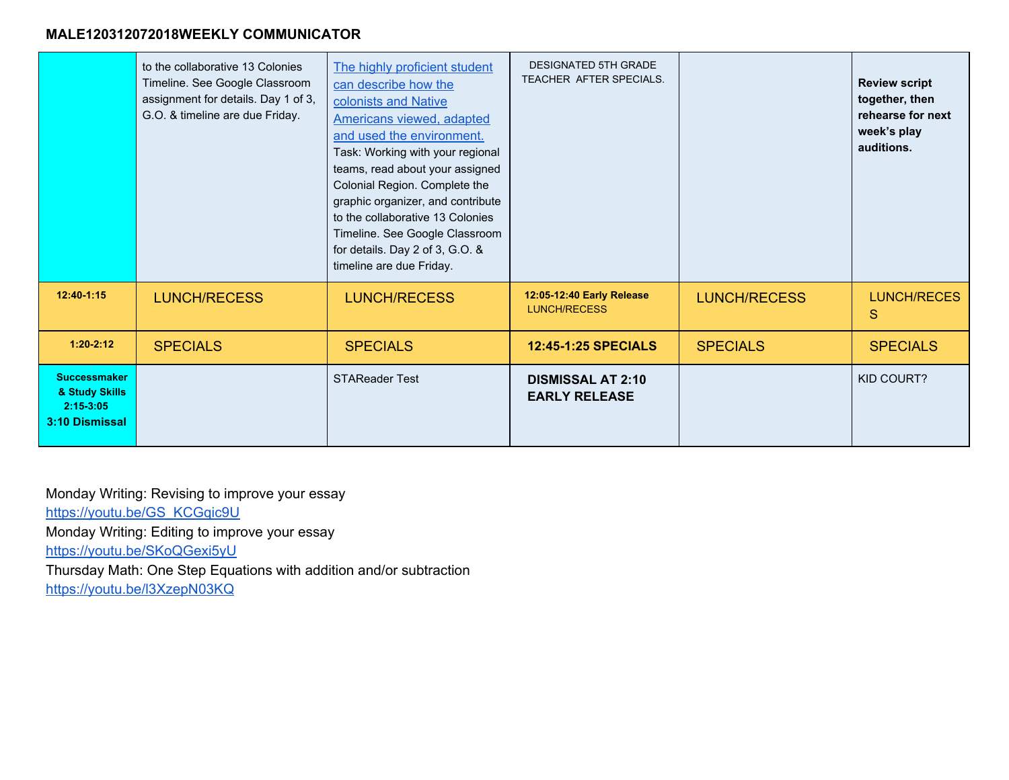|                                                                        | to the collaborative 13 Colonies<br>Timeline. See Google Classroom<br>assignment for details. Day 1 of 3,<br>G.O. & timeline are due Friday. | The highly proficient student<br>can describe how the<br>colonists and Native<br><b>Americans viewed, adapted</b><br>and used the environment.<br>Task: Working with your regional<br>teams, read about your assigned<br>Colonial Region. Complete the<br>graphic organizer, and contribute<br>to the collaborative 13 Colonies<br>Timeline. See Google Classroom<br>for details. Day 2 of 3, G.O. &<br>timeline are due Friday. | <b>DESIGNATED 5TH GRADE</b><br>TEACHER AFTER SPECIALS. |                     | <b>Review script</b><br>together, then<br>rehearse for next<br>week's play<br>auditions. |
|------------------------------------------------------------------------|----------------------------------------------------------------------------------------------------------------------------------------------|----------------------------------------------------------------------------------------------------------------------------------------------------------------------------------------------------------------------------------------------------------------------------------------------------------------------------------------------------------------------------------------------------------------------------------|--------------------------------------------------------|---------------------|------------------------------------------------------------------------------------------|
| $12:40-1:15$                                                           | <b>LUNCH/RECESS</b>                                                                                                                          | <b>LUNCH/RECESS</b>                                                                                                                                                                                                                                                                                                                                                                                                              | 12:05-12:40 Early Release<br><b>LUNCH/RECESS</b>       | <b>LUNCH/RECESS</b> | LUNCH/RECES<br>S                                                                         |
| $1:20-2:12$                                                            | <b>SPECIALS</b>                                                                                                                              | <b>SPECIALS</b>                                                                                                                                                                                                                                                                                                                                                                                                                  | <b>12:45-1:25 SPECIALS</b>                             | <b>SPECIALS</b>     | <b>SPECIALS</b>                                                                          |
| <b>Successmaker</b><br>& Study Skills<br>$2:15-3:05$<br>3:10 Dismissal |                                                                                                                                              | <b>STAReader Test</b>                                                                                                                                                                                                                                                                                                                                                                                                            | <b>DISMISSAL AT 2:10</b><br><b>EARLY RELEASE</b>       |                     | KID COURT?                                                                               |

Monday Writing: Revising to improve your essay [https://youtu.be/GS\\_KCGqic9U](https://youtu.be/GS_KCGqic9U) Monday Writing: Editing to improve your essay <https://youtu.be/SKoQGexi5yU> Thursday Math: One Step Equations with addition and/or subtraction <https://youtu.be/l3XzepN03KQ>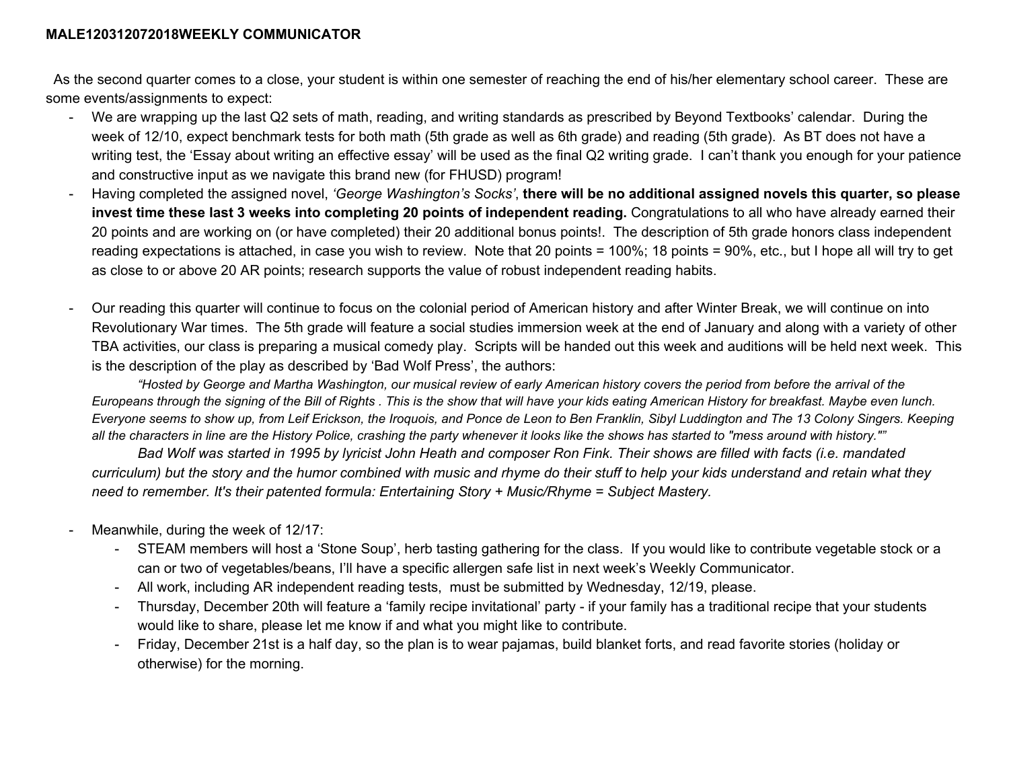As the second quarter comes to a close, your student is within one semester of reaching the end of his/her elementary school career. These are some events/assignments to expect:

- We are wrapping up the last Q2 sets of math, reading, and writing standards as prescribed by Beyond Textbooks' calendar. During the week of 12/10, expect benchmark tests for both math (5th grade as well as 6th grade) and reading (5th grade). As BT does not have a writing test, the 'Essay about writing an effective essay' will be used as the final Q2 writing grade. I can't thank you enough for your patience and constructive input as we navigate this brand new (for FHUSD) program!
- Having completed the assigned novel, 'George Washington's Socks', there will be no additional assigned novels this quarter, so please **invest time these last 3 weeks into completing 20 points of independent reading.** Congratulations to all who have already earned their 20 points and are working on (or have completed) their 20 additional bonus points!. The description of 5th grade honors class independent reading expectations is attached, in case you wish to review. Note that 20 points = 100%; 18 points = 90%, etc., but I hope all will try to get as close to or above 20 AR points; research supports the value of robust independent reading habits.
- Our reading this quarter will continue to focus on the colonial period of American history and after Winter Break, we will continue on into Revolutionary War times. The 5th grade will feature a social studies immersion week at the end of January and along with a variety of other TBA activities, our class is preparing a musical comedy play. Scripts will be handed out this week and auditions will be held next week. This is the description of the play as described by 'Bad Wolf Press', the authors:

"Hosted by George and Martha Washington, our musical review of early American history covers the period from before the arrival of the Europeans through the signing of the Bill of Rights. This is the show that will have your kids eating American History for breakfast. Maybe even lunch. Everyone seems to show up, from Leif Erickson, the Iroquois, and Ponce de Leon to Ben Franklin, Sibyl Luddington and The 13 Colony Singers. Keeping all the characters in line are the History Police, crashing the party whenever it looks like the shows has started to "mess around with history.""

Bad Wolf was started in 1995 by lyricist John Heath and composer Ron Fink. Their shows are filled with facts (i.e. mandated curriculum) but the story and the humor combined with music and rhyme do their stuff to help your kids understand and retain what they *need to remember. It's their patented formula: Entertaining Story + Music/Rhyme = Subject Mastery.*

- Meanwhile, during the week of 12/17:
	- STEAM members will host a 'Stone Soup', herb tasting gathering for the class. If you would like to contribute vegetable stock or a can or two of vegetables/beans, I'll have a specific allergen safe list in next week's Weekly Communicator.
	- All work, including AR independent reading tests, must be submitted by Wednesday, 12/19, please.
	- Thursday, December 20th will feature a 'family recipe invitational' party if your family has a traditional recipe that your students would like to share, please let me know if and what you might like to contribute.
	- Friday, December 21st is a half day, so the plan is to wear pajamas, build blanket forts, and read favorite stories (holiday or otherwise) for the morning.